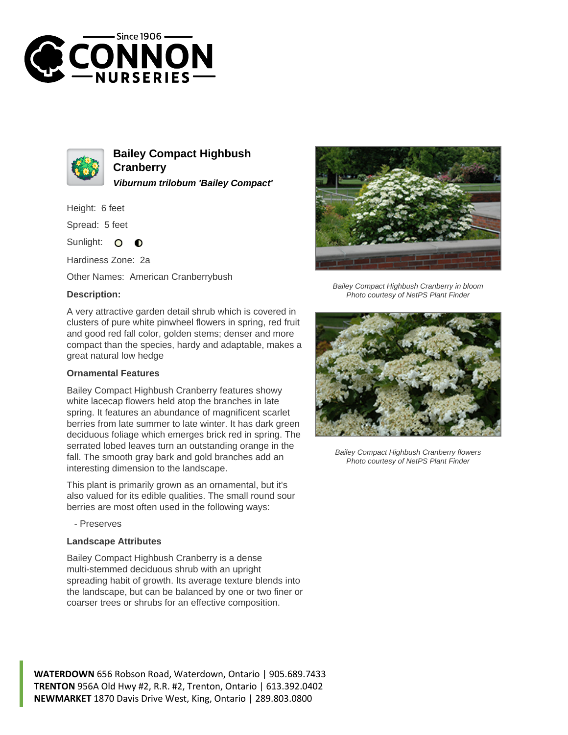



**Bailey Compact Highbush Cranberry Viburnum trilobum 'Bailey Compact'**

Height: 6 feet

Spread: 5 feet

Sunlight:  $\Omega$  $\bullet$ 

Hardiness Zone: 2a

Other Names: American Cranberrybush

## **Description:**

A very attractive garden detail shrub which is covered in clusters of pure white pinwheel flowers in spring, red fruit and good red fall color, golden stems; denser and more compact than the species, hardy and adaptable, makes a great natural low hedge

## **Ornamental Features**

Bailey Compact Highbush Cranberry features showy white lacecap flowers held atop the branches in late spring. It features an abundance of magnificent scarlet berries from late summer to late winter. It has dark green deciduous foliage which emerges brick red in spring. The serrated lobed leaves turn an outstanding orange in the fall. The smooth gray bark and gold branches add an interesting dimension to the landscape.

This plant is primarily grown as an ornamental, but it's also valued for its edible qualities. The small round sour berries are most often used in the following ways:

- Preserves

## **Landscape Attributes**

Bailey Compact Highbush Cranberry is a dense multi-stemmed deciduous shrub with an upright spreading habit of growth. Its average texture blends into the landscape, but can be balanced by one or two finer or coarser trees or shrubs for an effective composition.



Bailey Compact Highbush Cranberry in bloom Photo courtesy of NetPS Plant Finder



Bailey Compact Highbush Cranberry flowers Photo courtesy of NetPS Plant Finder

**WATERDOWN** 656 Robson Road, Waterdown, Ontario | 905.689.7433 **TRENTON** 956A Old Hwy #2, R.R. #2, Trenton, Ontario | 613.392.0402 **NEWMARKET** 1870 Davis Drive West, King, Ontario | 289.803.0800